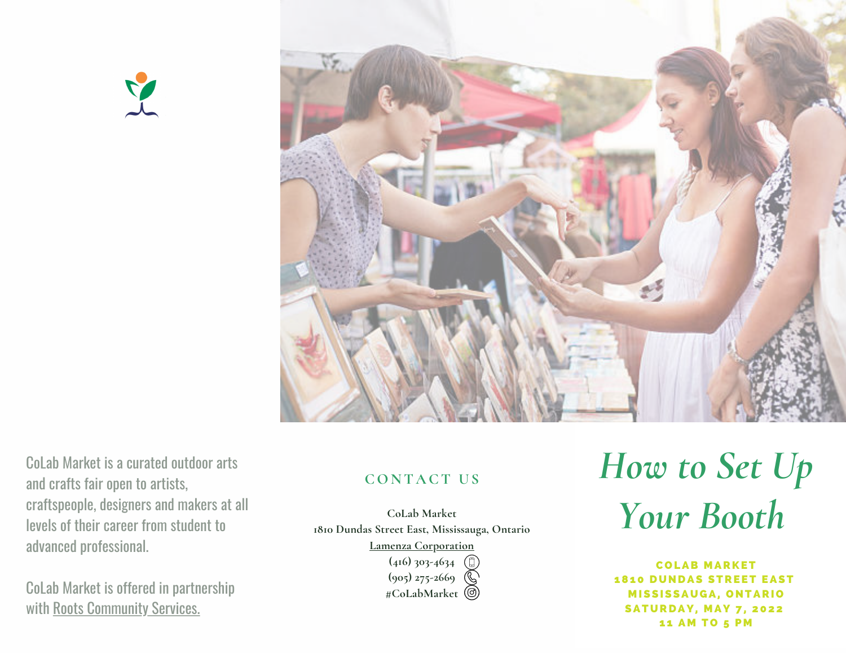



CoLab Market is a curated outdoor arts and crafts fair open to artists, [craftspeople,](https://rootscs.org/) designers and makers at all levels of their career from student to advanced professional.

CoLab Market is offered in partnership with Roots [Community](https://rootscs.org/) Services.

## **CON T A CT U S**

**CoLab Market 1810 Dundas Street East, Mississauga, Ontario**

**Lamenza [Corporation](https://www.lamenzacorp.com/contact)**

**(416) 303-4634 (905) 275-2669 #CoLabMarket**

# *How to Set Up Your Booth*

C O LAB M ARKET **1810 DUNDAS STREET EAST MISSISSAUGA, ONTARIO SATURDAY, MAY 7, 2022** 11 AM TO 5 PM